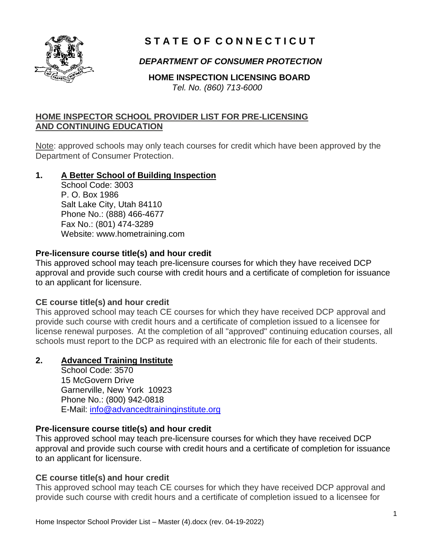

# **S T A T E O F C O N N E C T I C U T**

# *DEPARTMENT OF CONSUMER PROTECTION*

 **HOME INSPECTION LICENSING BOARD** *Tel. No. (860) 713-6000*

### **HOME INSPECTOR SCHOOL PROVIDER LIST FOR PRE-LICENSING AND CONTINUING EDUCATION**

Note: approved schools may only teach courses for credit which have been approved by the Department of Consumer Protection.

### **1. A Better School of Building Inspection**

School Code: 3003 P. O. Box 1986 Salt Lake City, Utah 84110 Phone No.: (888) 466-4677 Fax No.: (801) 474-3289 Website: www.hometraining.com

#### **Pre-licensure course title(s) and hour credit**

This approved school may teach pre-licensure courses for which they have received DCP approval and provide such course with credit hours and a certificate of completion for issuance to an applicant for licensure.

#### **CE course title(s) and hour credit**

This approved school may teach CE courses for which they have received DCP approval and provide such course with credit hours and a certificate of completion issued to a licensee for license renewal purposes. At the completion of all "approved" continuing education courses, all schools must report to the DCP as required with an electronic file for each of their students.

# **2. Advanced Training Institute**

School Code: 3570 15 McGovern Drive Garnerville, New York 10923 Phone No.: (800) 942-0818 E-Mail: [info@advancedtraininginstitute.org](mailto:info@advancedtraininginstitute.org)

# **Pre-licensure course title(s) and hour credit**

This approved school may teach pre-licensure courses for which they have received DCP approval and provide such course with credit hours and a certificate of completion for issuance to an applicant for licensure.

#### **CE course title(s) and hour credit**

This approved school may teach CE courses for which they have received DCP approval and provide such course with credit hours and a certificate of completion issued to a licensee for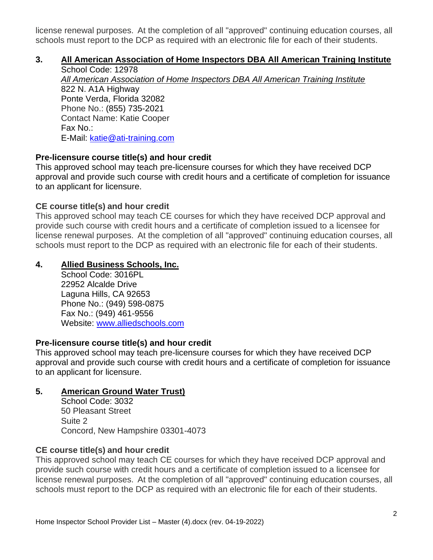license renewal purposes. At the completion of all "approved" continuing education courses, all schools must report to the DCP as required with an electronic file for each of their students.

# **3. All American Association of Home Inspectors DBA All American Training Institute**

School Code: 12978 *All American Association of Home Inspectors DBA All American Training Institute* 822 N. A1A Highway Ponte Verda, Florida 32082 Phone No.: (855) 735-2021 Contact Name: Katie Cooper Fax No.: E-Mail: [katie@ati-training.com](mailto:katie@ati-training.com)

### **Pre-licensure course title(s) and hour credit**

This approved school may teach pre-licensure courses for which they have received DCP approval and provide such course with credit hours and a certificate of completion for issuance to an applicant for licensure.

### **CE course title(s) and hour credit**

This approved school may teach CE courses for which they have received DCP approval and provide such course with credit hours and a certificate of completion issued to a licensee for license renewal purposes. At the completion of all "approved" continuing education courses, all schools must report to the DCP as required with an electronic file for each of their students.

### **4. Allied Business Schools, Inc.**

School Code: 3016PL 22952 Alcalde Drive Laguna Hills, CA 92653 Phone No.: (949) 598-0875 Fax No.: (949) 461-9556 Website: [www.alliedschools.com](http://www.alliedschools.com/)

#### **Pre-licensure course title(s) and hour credit**

This approved school may teach pre-licensure courses for which they have received DCP approval and provide such course with credit hours and a certificate of completion for issuance to an applicant for licensure.

#### **5. American Ground Water Trust)**

School Code: 3032 50 Pleasant Street Suite 2 Concord, New Hampshire 03301-4073

#### **CE course title(s) and hour credit**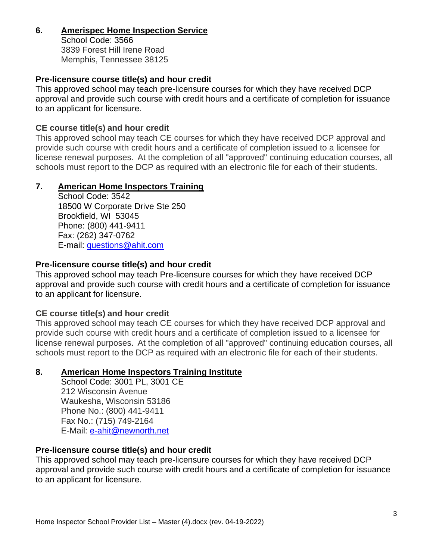# **6. Amerispec Home Inspection Service**

School Code: 3566 3839 Forest Hill Irene Road Memphis, Tennessee 38125

### **Pre-licensure course title(s) and hour credit**

This approved school may teach pre-licensure courses for which they have received DCP approval and provide such course with credit hours and a certificate of completion for issuance to an applicant for licensure.

### **CE course title(s) and hour credit**

This approved school may teach CE courses for which they have received DCP approval and provide such course with credit hours and a certificate of completion issued to a licensee for license renewal purposes. At the completion of all "approved" continuing education courses, all schools must report to the DCP as required with an electronic file for each of their students.

### **7. American Home Inspectors Training**

School Code: 3542 18500 W Corporate Drive Ste 250 Brookfield, WI 53045 Phone: (800) 441-9411 Fax: (262) 347-0762 E-mail: [questions@ahit.com](mailto:questions@ahit.com)

# **Pre-licensure course title(s) and hour credit**

This approved school may teach Pre-licensure courses for which they have received DCP approval and provide such course with credit hours and a certificate of completion for issuance to an applicant for licensure.

#### **CE course title(s) and hour credit**

This approved school may teach CE courses for which they have received DCP approval and provide such course with credit hours and a certificate of completion issued to a licensee for license renewal purposes. At the completion of all "approved" continuing education courses, all schools must report to the DCP as required with an electronic file for each of their students.

#### **8. American Home Inspectors Training Institute**

School Code: 3001 PL, 3001 CE 212 Wisconsin Avenue Waukesha, Wisconsin 53186 Phone No.: (800) 441-9411 Fax No.: (715) 749-2164 E-Mail: [e-ahit@newnorth.net](mailto:e-ahit@newnorth.net)

#### **Pre-licensure course title(s) and hour credit**

This approved school may teach pre-licensure courses for which they have received DCP approval and provide such course with credit hours and a certificate of completion for issuance to an applicant for licensure.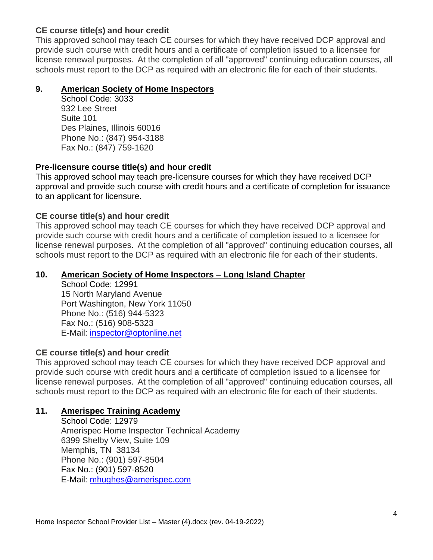This approved school may teach CE courses for which they have received DCP approval and provide such course with credit hours and a certificate of completion issued to a licensee for license renewal purposes. At the completion of all "approved" continuing education courses, all schools must report to the DCP as required with an electronic file for each of their students.

# **9. American Society of Home Inspectors**

School Code: 3033 932 Lee Street Suite 101 Des Plaines, Illinois 60016 Phone No.: (847) 954-3188 Fax No.: (847) 759-1620

# **Pre-licensure course title(s) and hour credit**

This approved school may teach pre-licensure courses for which they have received DCP approval and provide such course with credit hours and a certificate of completion for issuance to an applicant for licensure.

# **CE course title(s) and hour credit**

This approved school may teach CE courses for which they have received DCP approval and provide such course with credit hours and a certificate of completion issued to a licensee for license renewal purposes. At the completion of all "approved" continuing education courses, all schools must report to the DCP as required with an electronic file for each of their students.

### **10. American Society of Home Inspectors – Long Island Chapter**

School Code: 12991 15 North Maryland Avenue Port Washington, New York 11050 Phone No.: (516) 944-5323 Fax No.: (516) 908-5323 E-Mail: [inspector@optonline.net](mailto:inspector@optonline.net)

# **CE course title(s) and hour credit**

This approved school may teach CE courses for which they have received DCP approval and provide such course with credit hours and a certificate of completion issued to a licensee for license renewal purposes. At the completion of all "approved" continuing education courses, all schools must report to the DCP as required with an electronic file for each of their students.

# **11. Amerispec Training Academy**

School Code: 12979 Amerispec Home Inspector Technical Academy 6399 Shelby View, Suite 109 Memphis, TN 38134 Phone No.: (901) 597-8504 Fax No.: (901) 597-8520 E-Mail: [mhughes@amerispec.com](mailto:mhughes@amerispec.com)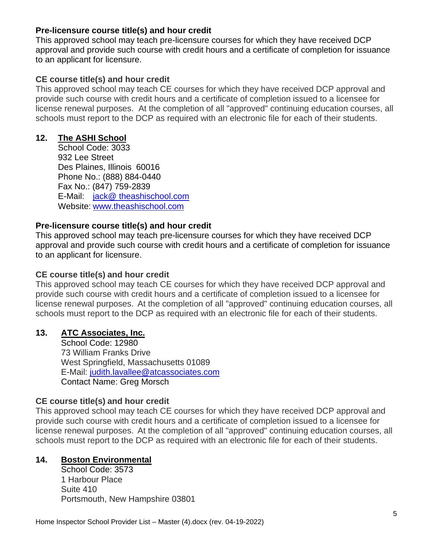### **Pre-licensure course title(s) and hour credit**

This approved school may teach pre-licensure courses for which they have received DCP approval and provide such course with credit hours and a certificate of completion for issuance to an applicant for licensure.

# **CE course title(s) and hour credit**

This approved school may teach CE courses for which they have received DCP approval and provide such course with credit hours and a certificate of completion issued to a licensee for license renewal purposes. At the completion of all "approved" continuing education courses, all schools must report to the DCP as required with an electronic file for each of their students.

# **12. The ASHI School**

School Code: 3033 932 Lee Street Des Plaines, Illinois 60016 Phone No.: (888) 884-0440 Fax No.: (847) 759-2839 E-Mail: [jack@ theashischool.com](mailto:barton@caseyomalleyassociates.com) Website: [www.theashischool.com](http://www.theashischool.com/)

### **Pre-licensure course title(s) and hour credit**

This approved school may teach pre-licensure courses for which they have received DCP approval and provide such course with credit hours and a certificate of completion for issuance to an applicant for licensure.

### **CE course title(s) and hour credit**

This approved school may teach CE courses for which they have received DCP approval and provide such course with credit hours and a certificate of completion issued to a licensee for license renewal purposes. At the completion of all "approved" continuing education courses, all schools must report to the DCP as required with an electronic file for each of their students.

# **13. ATC Associates, Inc.**

School Code: 12980 73 William Franks Drive West Springfield, Massachusetts 01089 E-Mail: [judith.lavallee@atcassociates.com](mailto:judith.lavallee@atcassociates.com) Contact Name: Greg Morsch

# **CE course title(s) and hour credit**

This approved school may teach CE courses for which they have received DCP approval and provide such course with credit hours and a certificate of completion issued to a licensee for license renewal purposes. At the completion of all "approved" continuing education courses, all schools must report to the DCP as required with an electronic file for each of their students.

# **14. Boston Environmental**

School Code: 3573 1 Harbour Place Suite 410 Portsmouth, New Hampshire 03801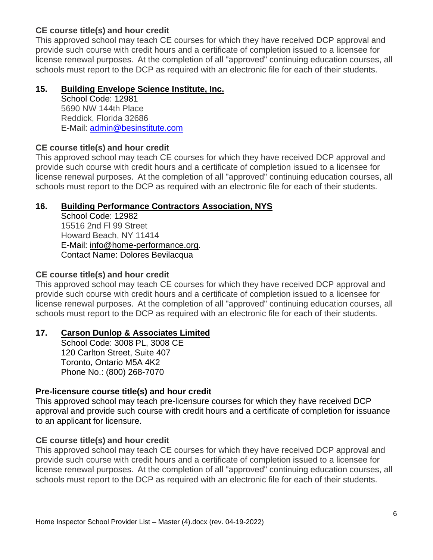This approved school may teach CE courses for which they have received DCP approval and provide such course with credit hours and a certificate of completion issued to a licensee for license renewal purposes. At the completion of all "approved" continuing education courses, all schools must report to the DCP as required with an electronic file for each of their students.

### **15. Building Envelope Science Institute, Inc.**

School Code: 12981 5690 NW 144th Place Reddick, Florida 32686 E-Mail: [admin@besinstitute.com](mailto:admin@besinstitute.com)

# **CE course title(s) and hour credit**

This approved school may teach CE courses for which they have received DCP approval and provide such course with credit hours and a certificate of completion issued to a licensee for license renewal purposes. At the completion of all "approved" continuing education courses, all schools must report to the DCP as required with an electronic file for each of their students.

# **16. Building Performance Contractors Association, NYS**

School Code: 12982 15516 2nd Fl 99 Street Howard Beach, NY 11414 E-Mail: [info@home-performance.org.](mailto:info@home-performance.org) Contact Name: Dolores Bevilacqua

### **CE course title(s) and hour credit**

This approved school may teach CE courses for which they have received DCP approval and provide such course with credit hours and a certificate of completion issued to a licensee for license renewal purposes. At the completion of all "approved" continuing education courses, all schools must report to the DCP as required with an electronic file for each of their students.

#### **17. Carson Dunlop & Associates Limited**

School Code: 3008 PL, 3008 CE 120 Carlton Street, Suite 407 Toronto, Ontario M5A 4K2 Phone No.: (800) 268-7070

#### **Pre-licensure course title(s) and hour credit**

This approved school may teach pre-licensure courses for which they have received DCP approval and provide such course with credit hours and a certificate of completion for issuance to an applicant for licensure.

# **CE course title(s) and hour credit**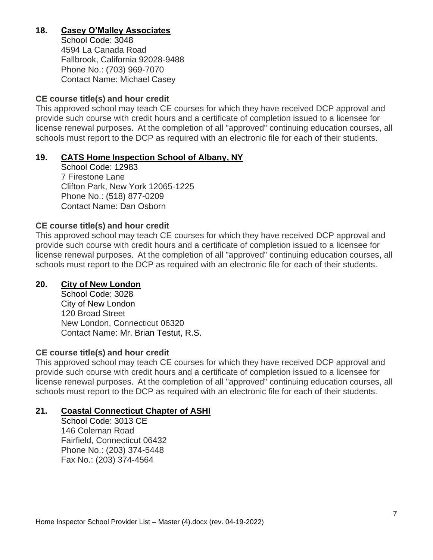# **18. Casey O'Malley Associates**

School Code: 3048 4594 La Canada Road Fallbrook, California 92028-9488 Phone No.: (703) 969-7070 Contact Name: Michael Casey

### **CE course title(s) and hour credit**

This approved school may teach CE courses for which they have received DCP approval and provide such course with credit hours and a certificate of completion issued to a licensee for license renewal purposes. At the completion of all "approved" continuing education courses, all schools must report to the DCP as required with an electronic file for each of their students.

### **19. CATS Home Inspection School of Albany, NY**

School Code: 12983 7 Firestone Lane Clifton Park, New York 12065-1225 Phone No.: (518) 877-0209 Contact Name: Dan Osborn

### **CE course title(s) and hour credit**

This approved school may teach CE courses for which they have received DCP approval and provide such course with credit hours and a certificate of completion issued to a licensee for license renewal purposes. At the completion of all "approved" continuing education courses, all schools must report to the DCP as required with an electronic file for each of their students.

### **20. City of New London**

School Code: 3028 City of New London 120 Broad Street New London, Connecticut 06320 Contact Name: Mr. Brian Testut, R.S.

#### **CE course title(s) and hour credit**

This approved school may teach CE courses for which they have received DCP approval and provide such course with credit hours and a certificate of completion issued to a licensee for license renewal purposes. At the completion of all "approved" continuing education courses, all schools must report to the DCP as required with an electronic file for each of their students.

# **21. Coastal Connecticut Chapter of ASHI**

School Code: 3013 CE 146 Coleman Road Fairfield, Connecticut 06432 Phone No.: (203) 374-5448 Fax No.: (203) 374-4564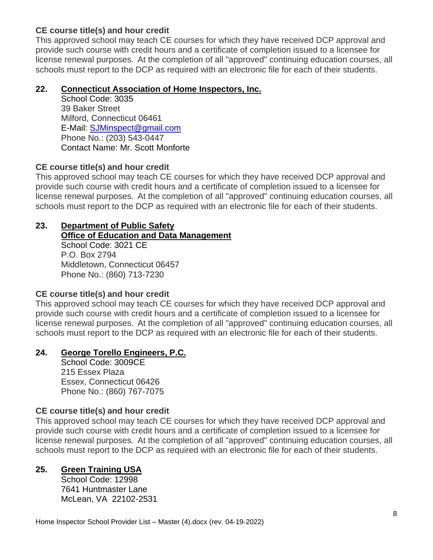This approved school may teach CE courses for which they have received DCP approval and provide such course with credit hours and a certificate of completion issued to a licensee for license renewal purposes. At the completion of all "approved" continuing education courses, all schools must report to the DCP as required with an electronic file for each of their students.

### **22. Connecticut Association of Home Inspectors, Inc.**

School Code: 3035 39 Baker Street Milford, Connecticut 06461 E-Mail: [SJMinspect@gmail.com](mailto:SJMinspect@gmail.com) Phone No.: (203) 543-0447 Contact Name: Mr. Scott Monforte

# **CE course title(s) and hour credit**

This approved school may teach CE courses for which they have received DCP approval and provide such course with credit hours and a certificate of completion issued to a licensee for license renewal purposes. At the completion of all "approved" continuing education courses, all schools must report to the DCP as required with an electronic file for each of their students.

#### **23. Department of Public Safety Office of Education and Data Management**

School Code: 3021 CE P.O. Box 2794 Middletown, Connecticut 06457 Phone No.: (860) 713-7230

# **CE course title(s) and hour credit**

This approved school may teach CE courses for which they have received DCP approval and provide such course with credit hours and a certificate of completion issued to a licensee for license renewal purposes. At the completion of all "approved" continuing education courses, all schools must report to the DCP as required with an electronic file for each of their students.

# **24. George Torello Engineers, P.C.**

School Code: 3009CE 215 Essex Plaza Essex, Connecticut 06426 Phone No.: (860) 767-7075

# **CE course title(s) and hour credit**

This approved school may teach CE courses for which they have received DCP approval and provide such course with credit hours and a certificate of completion issued to a licensee for license renewal purposes. At the completion of all "approved" continuing education courses, all schools must report to the DCP as required with an electronic file for each of their students.

# **25. Green Training USA**

School Code: 12998 7641 Huntmaster Lane McLean, VA 22102-2531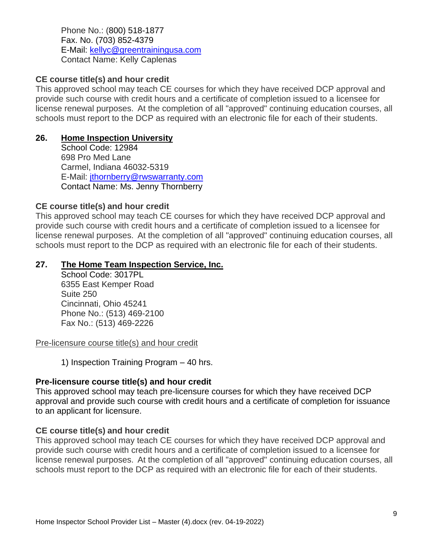Phone No.: (800) 518-1877 Fax. No. (703) 852-4379 E-Mail: [kellyc@greentrainingusa.com](mailto:kellyc@greentrainingusa.com) Contact Name: Kelly Caplenas

### **CE course title(s) and hour credit**

This approved school may teach CE courses for which they have received DCP approval and provide such course with credit hours and a certificate of completion issued to a licensee for license renewal purposes. At the completion of all "approved" continuing education courses, all schools must report to the DCP as required with an electronic file for each of their students.

### **26. Home Inspection University**

School Code: 12984 698 Pro Med Lane Carmel, Indiana 46032-5319 E-Mail: [jthornberry@rwswarranty.com](mailto:jthornberry@rwswarranty.com) Contact Name: Ms. Jenny Thornberry

### **CE course title(s) and hour credit**

This approved school may teach CE courses for which they have received DCP approval and provide such course with credit hours and a certificate of completion issued to a licensee for license renewal purposes. At the completion of all "approved" continuing education courses, all schools must report to the DCP as required with an electronic file for each of their students.

### **27. The Home Team Inspection Service, Inc.**

School Code: 3017PL 6355 East Kemper Road Suite 250 Cincinnati, Ohio 45241 Phone No.: (513) 469-2100 Fax No.: (513) 469-2226

Pre-licensure course title(s) and hour credit

1) Inspection Training Program – 40 hrs.

#### **Pre-licensure course title(s) and hour credit**

This approved school may teach pre-licensure courses for which they have received DCP approval and provide such course with credit hours and a certificate of completion for issuance to an applicant for licensure.

# **CE course title(s) and hour credit**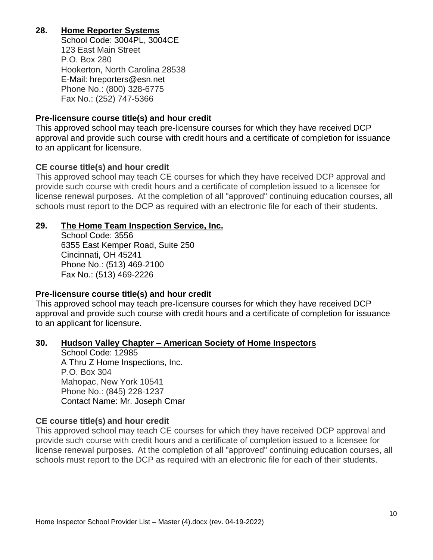# **28. Home Reporter Systems**

School Code: 3004PL, 3004CE 123 East Main Street P.O. Box 280 Hookerton, North Carolina 28538 E-Mail: hreporters@esn.net Phone No.: (800) 328-6775 Fax No.: (252) 747-5366

#### **Pre-licensure course title(s) and hour credit**

This approved school may teach pre-licensure courses for which they have received DCP approval and provide such course with credit hours and a certificate of completion for issuance to an applicant for licensure.

#### **CE course title(s) and hour credit**

This approved school may teach CE courses for which they have received DCP approval and provide such course with credit hours and a certificate of completion issued to a licensee for license renewal purposes. At the completion of all "approved" continuing education courses, all schools must report to the DCP as required with an electronic file for each of their students.

#### **29. The Home Team Inspection Service, Inc.**

School Code: 3556 6355 East Kemper Road, Suite 250 Cincinnati, OH 45241 Phone No.: (513) 469-2100 Fax No.: (513) 469-2226

#### **Pre-licensure course title(s) and hour credit**

This approved school may teach pre-licensure courses for which they have received DCP approval and provide such course with credit hours and a certificate of completion for issuance to an applicant for licensure.

#### **30. Hudson Valley Chapter – American Society of Home Inspectors**

School Code: 12985 A Thru Z Home Inspections, Inc. P.O. Box 304 Mahopac, New York 10541 Phone No.: (845) 228-1237 Contact Name: Mr. Joseph Cmar

#### **CE course title(s) and hour credit**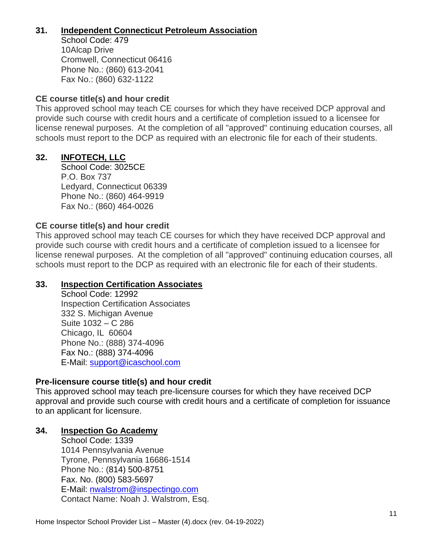# **31. Independent Connecticut Petroleum Association**

School Code: 479 10Alcap Drive Cromwell, Connecticut 06416 Phone No.: (860) 613-2041 Fax No.: (860) 632-1122

# **CE course title(s) and hour credit**

This approved school may teach CE courses for which they have received DCP approval and provide such course with credit hours and a certificate of completion issued to a licensee for license renewal purposes. At the completion of all "approved" continuing education courses, all schools must report to the DCP as required with an electronic file for each of their students.

# **32. INFOTECH, LLC**

School Code: 3025CE P.O. Box 737 Ledyard, Connecticut 06339 Phone No.: (860) 464-9919 Fax No.: (860) 464-0026

# **CE course title(s) and hour credit**

This approved school may teach CE courses for which they have received DCP approval and provide such course with credit hours and a certificate of completion issued to a licensee for license renewal purposes. At the completion of all "approved" continuing education courses, all schools must report to the DCP as required with an electronic file for each of their students.

# **33. Inspection Certification Associates**

School Code: 12992 Inspection Certification Associates 332 S. Michigan Avenue Suite 1032 – C 286 Chicago, IL 60604 Phone No.: (888) 374-4096 Fax No.: (888) 374-4096 E-Mail: [support@icaschool.com](mailto:support@icaschool.com)

# **Pre-licensure course title(s) and hour credit**

This approved school may teach pre-licensure courses for which they have received DCP approval and provide such course with credit hours and a certificate of completion for issuance to an applicant for licensure.

# **34. Inspection Go Academy**

School Code: 1339 1014 Pennsylvania Avenue Tyrone, Pennsylvania 16686-1514 Phone No.: (814) 500-8751 Fax. No. (800) 583-5697 E-Mail: [nwalstrom@inspectingo.com](mailto:nwalstrom@inspectingo.com) Contact Name: Noah J. Walstrom, Esq.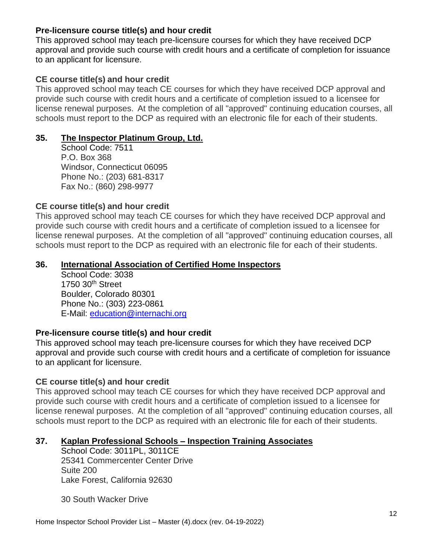### **Pre-licensure course title(s) and hour credit**

This approved school may teach pre-licensure courses for which they have received DCP approval and provide such course with credit hours and a certificate of completion for issuance to an applicant for licensure.

# **CE course title(s) and hour credit**

This approved school may teach CE courses for which they have received DCP approval and provide such course with credit hours and a certificate of completion issued to a licensee for license renewal purposes. At the completion of all "approved" continuing education courses, all schools must report to the DCP as required with an electronic file for each of their students.

### **35. The Inspector Platinum Group, Ltd.**

School Code: 7511 P.O. Box 368 Windsor, Connecticut 06095 Phone No.: (203) 681-8317 Fax No.: (860) 298-9977

# **CE course title(s) and hour credit**

This approved school may teach CE courses for which they have received DCP approval and provide such course with credit hours and a certificate of completion issued to a licensee for license renewal purposes. At the completion of all "approved" continuing education courses, all schools must report to the DCP as required with an electronic file for each of their students.

### **36. International Association of Certified Home Inspectors**

School Code: 3038 1750 30th Street Boulder, Colorado 80301 Phone No.: (303) 223-0861 E-Mail: [education@internachi.org](mailto:education@internachi.org)

# **Pre-licensure course title(s) and hour credit**

This approved school may teach pre-licensure courses for which they have received DCP approval and provide such course with credit hours and a certificate of completion for issuance to an applicant for licensure.

# **CE course title(s) and hour credit**

This approved school may teach CE courses for which they have received DCP approval and provide such course with credit hours and a certificate of completion issued to a licensee for license renewal purposes. At the completion of all "approved" continuing education courses, all schools must report to the DCP as required with an electronic file for each of their students.

# **37. Kaplan Professional Schools – Inspection Training Associates**

School Code: 3011PL, 3011CE 25341 Commercenter Center Drive Suite 200 Lake Forest, California 92630

30 South Wacker Drive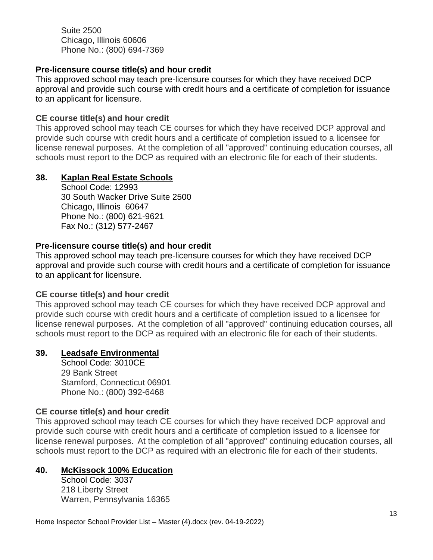Suite 2500 Chicago, Illinois 60606 Phone No.: (800) 694-7369

### **Pre-licensure course title(s) and hour credit**

This approved school may teach pre-licensure courses for which they have received DCP approval and provide such course with credit hours and a certificate of completion for issuance to an applicant for licensure.

#### **CE course title(s) and hour credit**

This approved school may teach CE courses for which they have received DCP approval and provide such course with credit hours and a certificate of completion issued to a licensee for license renewal purposes. At the completion of all "approved" continuing education courses, all schools must report to the DCP as required with an electronic file for each of their students.

#### **38. Kaplan Real Estate Schools**

School Code: 12993 30 South Wacker Drive Suite 2500 Chicago, Illinois 60647 Phone No.: (800) 621-9621 Fax No.: (312) 577-2467

#### **Pre-licensure course title(s) and hour credit**

This approved school may teach pre-licensure courses for which they have received DCP approval and provide such course with credit hours and a certificate of completion for issuance to an applicant for licensure.

#### **CE course title(s) and hour credit**

This approved school may teach CE courses for which they have received DCP approval and provide such course with credit hours and a certificate of completion issued to a licensee for license renewal purposes. At the completion of all "approved" continuing education courses, all schools must report to the DCP as required with an electronic file for each of their students.

#### **39. Leadsafe Environmental**

School Code: 3010CE 29 Bank Street Stamford, Connecticut 06901 Phone No.: (800) 392-6468

#### **CE course title(s) and hour credit**

This approved school may teach CE courses for which they have received DCP approval and provide such course with credit hours and a certificate of completion issued to a licensee for license renewal purposes. At the completion of all "approved" continuing education courses, all schools must report to the DCP as required with an electronic file for each of their students.

#### **40. McKissock 100% Education**

School Code: 3037 218 Liberty Street Warren, Pennsylvania 16365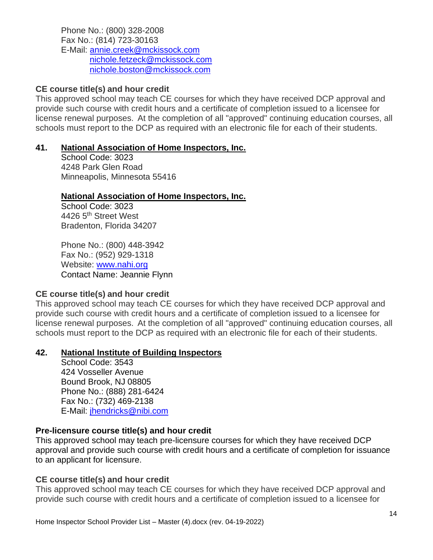Phone No.: (800) 328-2008 Fax No.: (814) 723-30163 E-Mail: [annie.creek@mckissock.com](mailto:annie.creek@mckissock.com) [nichole.fetzeck@mckissock.com](mailto:nichole.fetzeck@mckissock.com) [nichole.boston@mckissock.com](mailto:nichole.boston@mckissock.com)

### **CE course title(s) and hour credit**

This approved school may teach CE courses for which they have received DCP approval and provide such course with credit hours and a certificate of completion issued to a licensee for license renewal purposes. At the completion of all "approved" continuing education courses, all schools must report to the DCP as required with an electronic file for each of their students.

#### **41. National Association of Home Inspectors, Inc.**

School Code: 3023 4248 Park Glen Road Minneapolis, Minnesota 55416

#### **National Association of Home Inspectors, Inc.**

School Code: 3023 4426 5th Street West Bradenton, Florida 34207

Phone No.: (800) 448-3942 Fax No.: (952) 929-1318 Website: [www.nahi.org](http://www.nahi.org/) Contact Name: Jeannie Flynn

# **CE course title(s) and hour credit**

This approved school may teach CE courses for which they have received DCP approval and provide such course with credit hours and a certificate of completion issued to a licensee for license renewal purposes. At the completion of all "approved" continuing education courses, all schools must report to the DCP as required with an electronic file for each of their students.

#### **42. National Institute of Building Inspectors**

School Code: 3543 424 Vosseller Avenue Bound Brook, NJ 08805 Phone No.: (888) 281-6424 Fax No.: (732) 469-2138 E-Mail: [jhendricks@nibi.com](mailto:jhendricks@nibi.com)

#### **Pre-licensure course title(s) and hour credit**

This approved school may teach pre-licensure courses for which they have received DCP approval and provide such course with credit hours and a certificate of completion for issuance to an applicant for licensure.

#### **CE course title(s) and hour credit**

This approved school may teach CE courses for which they have received DCP approval and provide such course with credit hours and a certificate of completion issued to a licensee for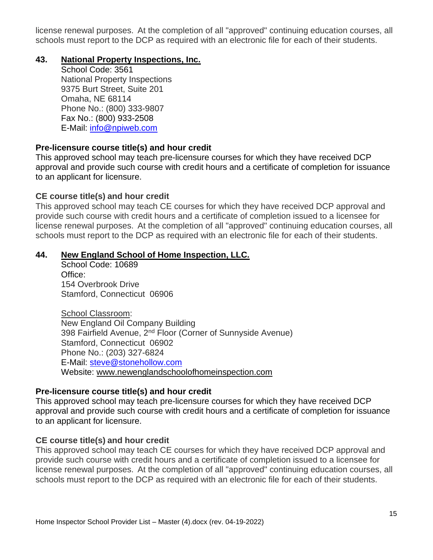license renewal purposes. At the completion of all "approved" continuing education courses, all schools must report to the DCP as required with an electronic file for each of their students.

#### **43. National Property Inspections, Inc.**

School Code: 3561 National Property Inspections 9375 Burt Street, Suite 201 Omaha, NE 68114 Phone No.: (800) 333-9807 Fax No.: (800) 933-2508 E-Mail: [info@npiweb.com](mailto:info@npiweb.com)

### **Pre-licensure course title(s) and hour credit**

This approved school may teach pre-licensure courses for which they have received DCP approval and provide such course with credit hours and a certificate of completion for issuance to an applicant for licensure.

#### **CE course title(s) and hour credit**

This approved school may teach CE courses for which they have received DCP approval and provide such course with credit hours and a certificate of completion issued to a licensee for license renewal purposes. At the completion of all "approved" continuing education courses, all schools must report to the DCP as required with an electronic file for each of their students.

### **44. New England School of Home Inspection, LLC.**

School Code: 10689 Office: 154 Overbrook Drive Stamford, Connecticut 06906

School Classroom: New England Oil Company Building 398 Fairfield Avenue, 2<sup>nd</sup> Floor (Corner of Sunnyside Avenue) Stamford, Connecticut 06902 Phone No.: (203) 327-6824 E-Mail: [steve@stonehollow.com](mailto:steve@stonehollow.com) Website: www.newenglandschoolofhomeinspection.com

#### **Pre-licensure course title(s) and hour credit**

This approved school may teach pre-licensure courses for which they have received DCP approval and provide such course with credit hours and a certificate of completion for issuance to an applicant for licensure.

# **CE course title(s) and hour credit**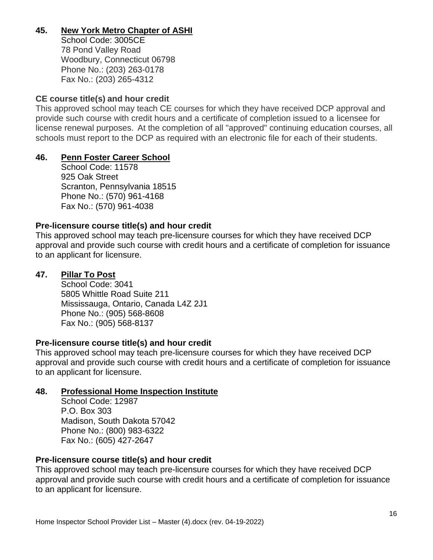# **45. New York Metro Chapter of ASHI**

School Code: 3005CE 78 Pond Valley Road Woodbury, Connecticut 06798 Phone No.: (203) 263-0178 Fax No.: (203) 265-4312

### **CE course title(s) and hour credit**

This approved school may teach CE courses for which they have received DCP approval and provide such course with credit hours and a certificate of completion issued to a licensee for license renewal purposes. At the completion of all "approved" continuing education courses, all schools must report to the DCP as required with an electronic file for each of their students.

### **46. Penn Foster Career School**

School Code: 11578 925 Oak Street Scranton, Pennsylvania 18515 Phone No.: (570) 961-4168 Fax No.: (570) 961-4038

### **Pre-licensure course title(s) and hour credit**

This approved school may teach pre-licensure courses for which they have received DCP approval and provide such course with credit hours and a certificate of completion for issuance to an applicant for licensure.

#### **47. Pillar To Post**

School Code: 3041 5805 Whittle Road Suite 211 Mississauga, Ontario, Canada L4Z 2J1 Phone No.: (905) 568-8608 Fax No.: (905) 568-8137

#### **Pre-licensure course title(s) and hour credit**

This approved school may teach pre-licensure courses for which they have received DCP approval and provide such course with credit hours and a certificate of completion for issuance to an applicant for licensure.

#### **48. Professional Home Inspection Institute**

School Code: 12987 P.O. Box 303 Madison, South Dakota 57042 Phone No.: (800) 983-6322 Fax No.: (605) 427-2647

#### **Pre-licensure course title(s) and hour credit**

This approved school may teach pre-licensure courses for which they have received DCP approval and provide such course with credit hours and a certificate of completion for issuance to an applicant for licensure.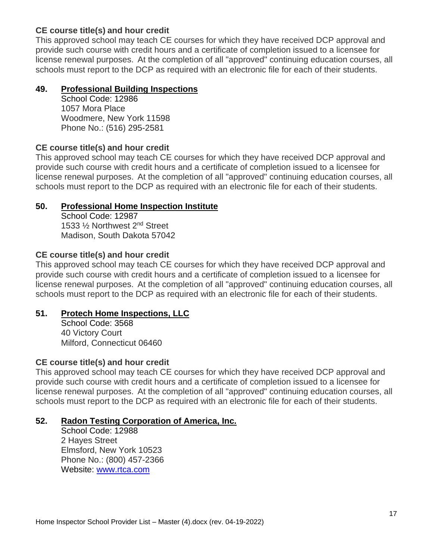This approved school may teach CE courses for which they have received DCP approval and provide such course with credit hours and a certificate of completion issued to a licensee for license renewal purposes. At the completion of all "approved" continuing education courses, all schools must report to the DCP as required with an electronic file for each of their students.

# **49. Professional Building Inspections**

School Code: 12986 1057 Mora Place Woodmere, New York 11598 Phone No.: (516) 295-2581

# **CE course title(s) and hour credit**

This approved school may teach CE courses for which they have received DCP approval and provide such course with credit hours and a certificate of completion issued to a licensee for license renewal purposes. At the completion of all "approved" continuing education courses, all schools must report to the DCP as required with an electronic file for each of their students.

### **50. Professional Home Inspection Institute**

School Code: 12987 1533 ½ Northwest 2nd Street Madison, South Dakota 57042

### **CE course title(s) and hour credit**

This approved school may teach CE courses for which they have received DCP approval and provide such course with credit hours and a certificate of completion issued to a licensee for license renewal purposes. At the completion of all "approved" continuing education courses, all schools must report to the DCP as required with an electronic file for each of their students.

# **51. Protech Home Inspections, LLC**

School Code: 3568 40 Victory Court Milford, Connecticut 06460

#### **CE course title(s) and hour credit**

This approved school may teach CE courses for which they have received DCP approval and provide such course with credit hours and a certificate of completion issued to a licensee for license renewal purposes. At the completion of all "approved" continuing education courses, all schools must report to the DCP as required with an electronic file for each of their students.

# **52. Radon Testing Corporation of America, Inc.**

School Code: 12988 2 Hayes Street Elmsford, New York 10523 Phone No.: (800) 457-2366 Website: [www.rtca.com](http://www.rtca.com/)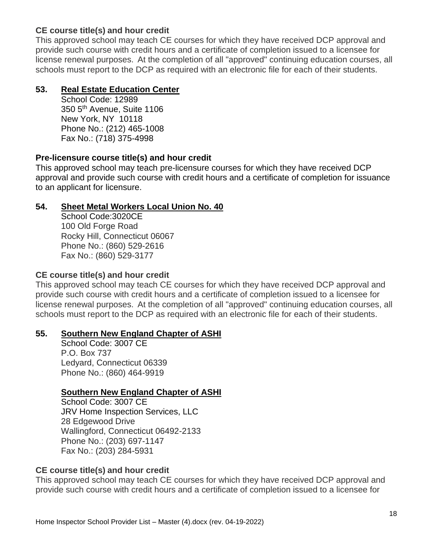This approved school may teach CE courses for which they have received DCP approval and provide such course with credit hours and a certificate of completion issued to a licensee for license renewal purposes. At the completion of all "approved" continuing education courses, all schools must report to the DCP as required with an electronic file for each of their students.

# **53. Real Estate Education Center**

School Code: 12989 350 5<sup>th</sup> Avenue, Suite 1106 New York, NY 10118 Phone No.: (212) 465-1008 Fax No.: (718) 375-4998

### **Pre-licensure course title(s) and hour credit**

This approved school may teach pre-licensure courses for which they have received DCP approval and provide such course with credit hours and a certificate of completion for issuance to an applicant for licensure.

# **54. Sheet Metal Workers Local Union No. 40**

School Code:3020CE 100 Old Forge Road Rocky Hill, Connecticut 06067 Phone No.: (860) 529-2616 Fax No.: (860) 529-3177

### **CE course title(s) and hour credit**

This approved school may teach CE courses for which they have received DCP approval and provide such course with credit hours and a certificate of completion issued to a licensee for license renewal purposes. At the completion of all "approved" continuing education courses, all schools must report to the DCP as required with an electronic file for each of their students.

#### **55. Southern New England Chapter of ASHI**

School Code: 3007 CE P.O. Box 737 Ledyard, Connecticut 06339 Phone No.: (860) 464-9919

# **Southern New England Chapter of ASHI**

School Code: 3007 CE JRV Home Inspection Services, LLC 28 Edgewood Drive Wallingford, Connecticut 06492-2133 Phone No.: (203) 697-1147 Fax No.: (203) 284-5931

# **CE course title(s) and hour credit**

This approved school may teach CE courses for which they have received DCP approval and provide such course with credit hours and a certificate of completion issued to a licensee for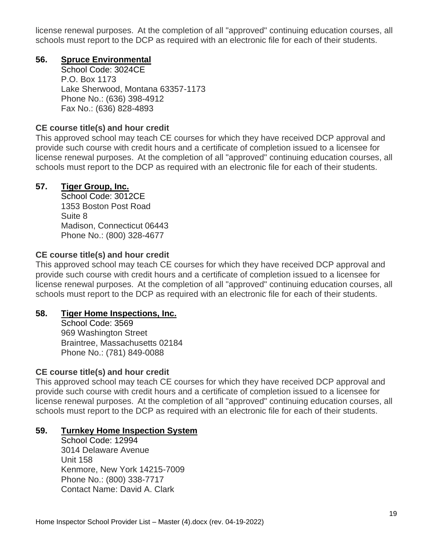license renewal purposes. At the completion of all "approved" continuing education courses, all schools must report to the DCP as required with an electronic file for each of their students.

### **56. Spruce Environmental**

School Code: 3024CE P.O. Box 1173 Lake Sherwood, Montana 63357-1173 Phone No.: (636) 398-4912 Fax No.: (636) 828-4893

### **CE course title(s) and hour credit**

This approved school may teach CE courses for which they have received DCP approval and provide such course with credit hours and a certificate of completion issued to a licensee for license renewal purposes. At the completion of all "approved" continuing education courses, all schools must report to the DCP as required with an electronic file for each of their students.

# **57. Tiger Group, Inc.**

School Code: 3012CE 1353 Boston Post Road Suite 8 Madison, Connecticut 06443 Phone No.: (800) 328-4677

### **CE course title(s) and hour credit**

This approved school may teach CE courses for which they have received DCP approval and provide such course with credit hours and a certificate of completion issued to a licensee for license renewal purposes. At the completion of all "approved" continuing education courses, all schools must report to the DCP as required with an electronic file for each of their students.

#### **58. Tiger Home Inspections, Inc.**

School Code: 3569 969 Washington Street Braintree, Massachusetts 02184 Phone No.: (781) 849-0088

# **CE course title(s) and hour credit**

This approved school may teach CE courses for which they have received DCP approval and provide such course with credit hours and a certificate of completion issued to a licensee for license renewal purposes. At the completion of all "approved" continuing education courses, all schools must report to the DCP as required with an electronic file for each of their students.

# **59. Turnkey Home Inspection System**

School Code: 12994 3014 Delaware Avenue Unit 158 Kenmore, New York 14215-7009 Phone No.: (800) 338-7717 Contact Name: David A. Clark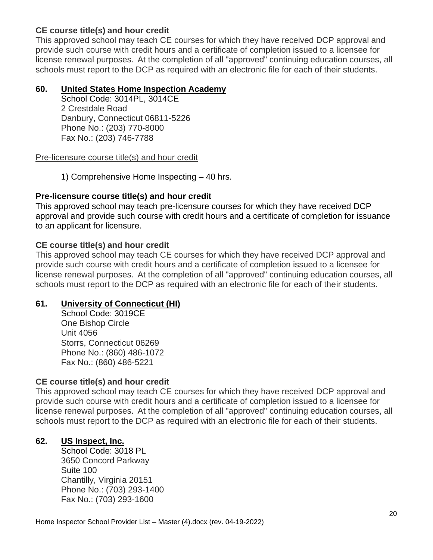This approved school may teach CE courses for which they have received DCP approval and provide such course with credit hours and a certificate of completion issued to a licensee for license renewal purposes. At the completion of all "approved" continuing education courses, all schools must report to the DCP as required with an electronic file for each of their students.

### **60. United States Home Inspection Academy**

School Code: 3014PL, 3014CE 2 Crestdale Road Danbury, Connecticut 06811-5226 Phone No.: (203) 770-8000 Fax No.: (203) 746-7788

Pre-licensure course title(s) and hour credit

1) Comprehensive Home Inspecting – 40 hrs.

### **Pre-licensure course title(s) and hour credit**

This approved school may teach pre-licensure courses for which they have received DCP approval and provide such course with credit hours and a certificate of completion for issuance to an applicant for licensure.

### **CE course title(s) and hour credit**

This approved school may teach CE courses for which they have received DCP approval and provide such course with credit hours and a certificate of completion issued to a licensee for license renewal purposes. At the completion of all "approved" continuing education courses, all schools must report to the DCP as required with an electronic file for each of their students.

# **61. University of Connecticut (HI)**

School Code: 3019CE One Bishop Circle Unit 4056 Storrs, Connecticut 06269 Phone No.: (860) 486-1072 Fax No.: (860) 486-5221

# **CE course title(s) and hour credit**

This approved school may teach CE courses for which they have received DCP approval and provide such course with credit hours and a certificate of completion issued to a licensee for license renewal purposes. At the completion of all "approved" continuing education courses, all schools must report to the DCP as required with an electronic file for each of their students.

# **62. US Inspect, Inc.**

School Code: 3018 PL 3650 Concord Parkway Suite 100 Chantilly, Virginia 20151 Phone No.: (703) 293-1400 Fax No.: (703) 293-1600